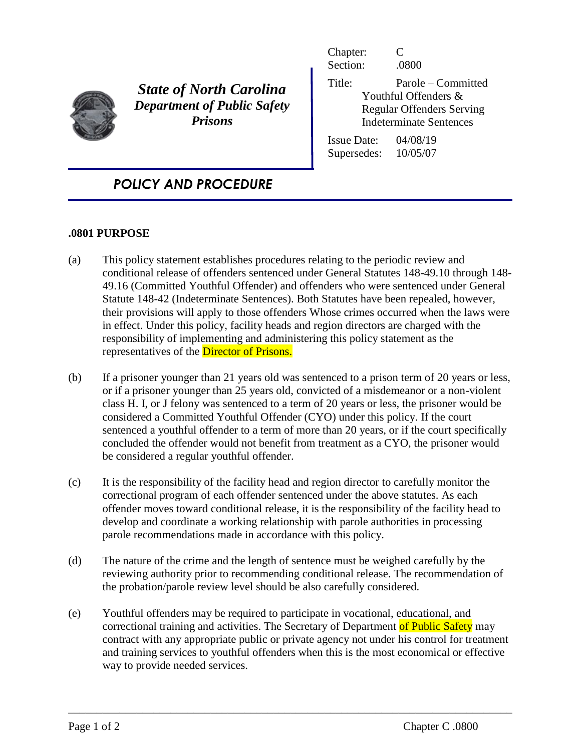

*State of North Carolina Department of Public Safety Prisons*

Chapter: C Section: .0800 Title: Parole – Committed Youthful Offenders & Regular Offenders Serving Indeterminate Sentences Issue Date: 04/08/19

Supersedes: 10/05/07

## *POLICY AND PROCEDURE*

## **.0801 PURPOSE**

- (a) This policy statement establishes procedures relating to the periodic review and conditional release of offenders sentenced under General Statutes 148-49.10 through 148- 49.16 (Committed Youthful Offender) and offenders who were sentenced under General Statute 148-42 (Indeterminate Sentences). Both Statutes have been repealed, however, their provisions will apply to those offenders Whose crimes occurred when the laws were in effect. Under this policy, facility heads and region directors are charged with the responsibility of implementing and administering this policy statement as the representatives of the **Director of Prisons.**
- (b) If a prisoner younger than 21 years old was sentenced to a prison term of 20 years or less, or if a prisoner younger than 25 years old, convicted of a misdemeanor or a non-violent class H. I, or J felony was sentenced to a term of 20 years or less, the prisoner would be considered a Committed Youthful Offender (CYO) under this policy. If the court sentenced a youthful offender to a term of more than 20 years, or if the court specifically concluded the offender would not benefit from treatment as a CYO, the prisoner would be considered a regular youthful offender.
- (c) It is the responsibility of the facility head and region director to carefully monitor the correctional program of each offender sentenced under the above statutes. As each offender moves toward conditional release, it is the responsibility of the facility head to develop and coordinate a working relationship with parole authorities in processing parole recommendations made in accordance with this policy.
- (d) The nature of the crime and the length of sentence must be weighed carefully by the reviewing authority prior to recommending conditional release. The recommendation of the probation/parole review level should be also carefully considered.
- (e) Youthful offenders may be required to participate in vocational, educational, and correctional training and activities. The Secretary of Department of Public Safety may contract with any appropriate public or private agency not under his control for treatment and training services to youthful offenders when this is the most economical or effective way to provide needed services.

\_\_\_\_\_\_\_\_\_\_\_\_\_\_\_\_\_\_\_\_\_\_\_\_\_\_\_\_\_\_\_\_\_\_\_\_\_\_\_\_\_\_\_\_\_\_\_\_\_\_\_\_\_\_\_\_\_\_\_\_\_\_\_\_\_\_\_\_\_\_\_\_\_\_\_\_\_\_